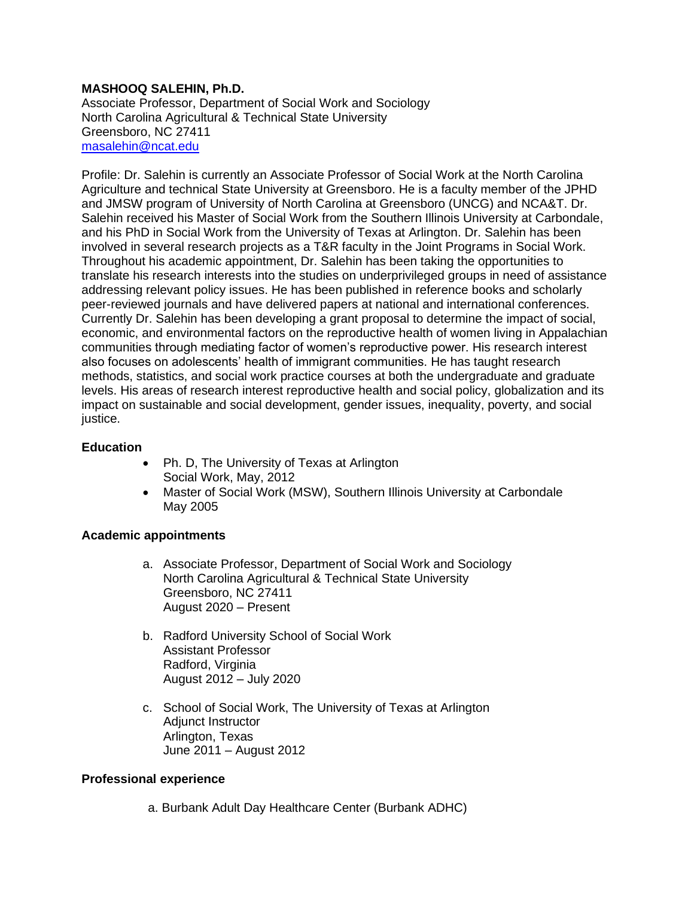## **MASHOOQ SALEHIN, Ph.D.**

Associate Professor, Department of Social Work and Sociology North Carolina Agricultural & Technical State University Greensboro, NC 27411 [masalehin@ncat.edu](mailto:masalehin@ncat.edu)

Profile: Dr. Salehin is currently an Associate Professor of Social Work at the North Carolina Agriculture and technical State University at Greensboro. He is a faculty member of the JPHD and JMSW program of University of North Carolina at Greensboro (UNCG) and NCA&T. Dr. Salehin received his Master of Social Work from the Southern Illinois University at Carbondale, and his PhD in Social Work from the University of Texas at Arlington. Dr. Salehin has been involved in several research projects as a T&R faculty in the Joint Programs in Social Work. Throughout his academic appointment, Dr. Salehin has been taking the opportunities to translate his research interests into the studies on underprivileged groups in need of assistance addressing relevant policy issues. He has been published in reference books and scholarly peer-reviewed journals and have delivered papers at national and international conferences. Currently Dr. Salehin has been developing a grant proposal to determine the impact of social, economic, and environmental factors on the reproductive health of women living in Appalachian communities through mediating factor of women's reproductive power. His research interest also focuses on adolescents' health of immigrant communities. He has taught research methods, statistics, and social work practice courses at both the undergraduate and graduate levels. His areas of research interest reproductive health and social policy, globalization and its impact on sustainable and social development, gender issues, inequality, poverty, and social justice.

### **Education**

- Ph. D, The University of Texas at Arlington Social Work, May, 2012
- Master of Social Work (MSW), Southern Illinois University at Carbondale May 2005

#### **Academic appointments**

- a. Associate Professor, Department of Social Work and Sociology North Carolina Agricultural & Technical State University Greensboro, NC 27411 August 2020 – Present
- b. Radford University School of Social Work Assistant Professor Radford, Virginia August 2012 – July 2020
- c. School of Social Work, The University of Texas at Arlington Adjunct Instructor Arlington, Texas June 2011 – August 2012

## **Professional experience**

a. Burbank Adult Day Healthcare Center (Burbank ADHC)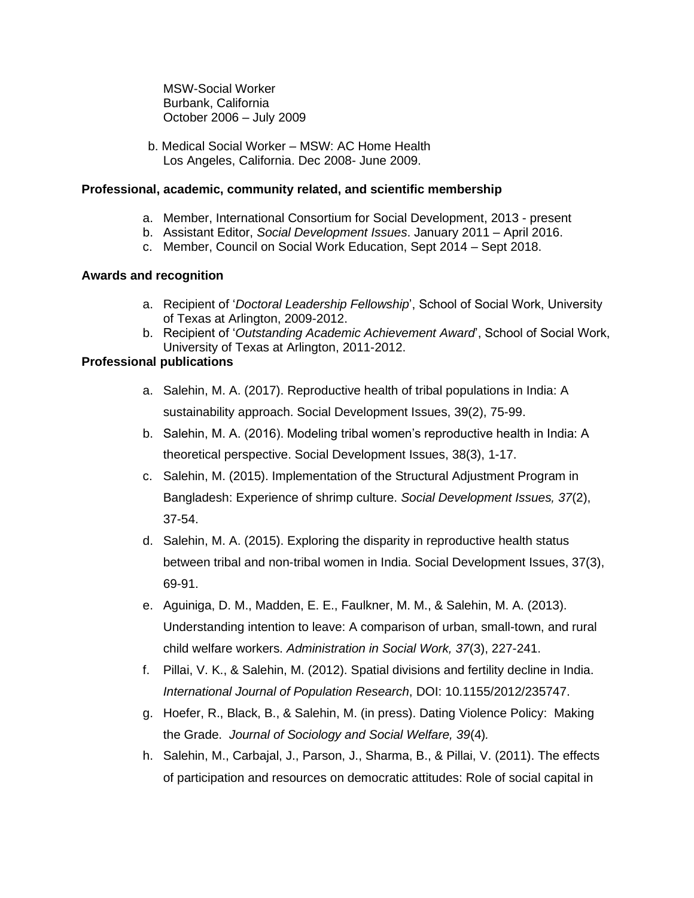MSW-Social Worker Burbank, California October 2006 – July 2009

b. Medical Social Worker – MSW: AC Home Health Los Angeles, California. Dec 2008- June 2009.

### **Professional, academic, community related, and scientific membership**

- a. Member, International Consortium for Social Development, 2013 present
- b. Assistant Editor, *Social Development Issues*. January 2011 April 2016.
- c. Member, Council on Social Work Education, Sept 2014 Sept 2018.

### **Awards and recognition**

- a. Recipient of '*Doctoral Leadership Fellowship*', School of Social Work, University of Texas at Arlington, 2009-2012.
- b. Recipient of '*Outstanding Academic Achievement Award*', School of Social Work, University of Texas at Arlington, 2011-2012.

## **Professional publications**

- a. Salehin, M. A. (2017). Reproductive health of tribal populations in India: A sustainability approach. Social Development Issues, 39(2), 75-99.
- b. Salehin, M. A. (2016). Modeling tribal women's reproductive health in India: A theoretical perspective. Social Development Issues, 38(3), 1-17.
- c. Salehin, M. (2015). Implementation of the Structural Adjustment Program in Bangladesh: Experience of shrimp culture. *Social Development Issues, 37*(2), 37-54.
- d. Salehin, M. A. (2015). Exploring the disparity in reproductive health status between tribal and non-tribal women in India. Social Development Issues, 37(3), 69-91.
- e. Aguiniga, D. M., Madden, E. E., Faulkner, M. M., & Salehin, M. A. (2013). Understanding intention to leave: A comparison of urban, small-town, and rural child welfare workers. *Administration in Social Work, 37*(3), 227-241.
- f. Pillai, V. K., & Salehin, M. (2012). Spatial divisions and fertility decline in India. *International Journal of Population Research*, DOI: 10.1155/2012/235747.
- g. Hoefer, R., Black, B., & Salehin, M. (in press). Dating Violence Policy: Making the Grade. *Journal of Sociology and Social Welfare, 39*(4)*.*
- h. Salehin, M., Carbajal, J., Parson, J., Sharma, B., & Pillai, V. (2011). The effects of participation and resources on democratic attitudes: Role of social capital in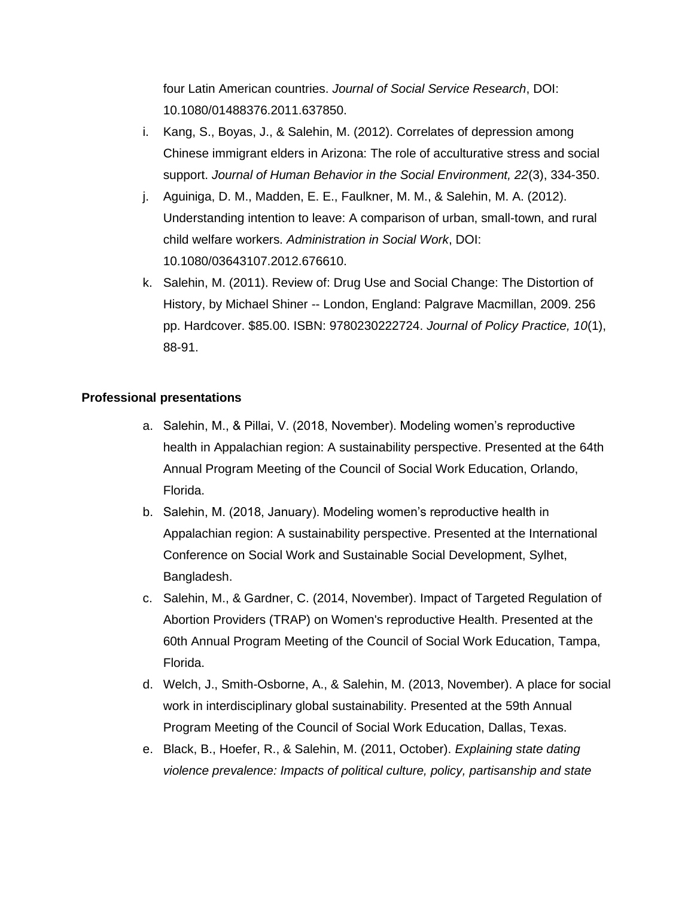four Latin American countries. *Journal of Social Service Research*, DOI: 10.1080/01488376.2011.637850.

- i. Kang, S., Boyas, J., & Salehin, M. (2012). Correlates of depression among Chinese immigrant elders in Arizona: The role of acculturative stress and social support. *Journal of Human Behavior in the Social Environment, 22*(3), 334-350.
- j. Aguiniga, D. M., Madden, E. E., Faulkner, M. M., & Salehin, M. A. (2012). Understanding intention to leave: A comparison of urban, small-town, and rural child welfare workers. *Administration in Social Work*, DOI: 10.1080/03643107.2012.676610.
- k. Salehin, M. (2011). Review of: Drug Use and Social Change: The Distortion of History, by Michael Shiner -- London, England: Palgrave Macmillan, 2009. 256 pp. Hardcover. \$85.00. ISBN: 9780230222724. *Journal of Policy Practice, 10*(1), 88-91.

# **Professional presentations**

- a. Salehin, M., & Pillai, V. (2018, November). Modeling women's reproductive health in Appalachian region: A sustainability perspective. Presented at the 64th Annual Program Meeting of the Council of Social Work Education, Orlando, Florida.
- b. Salehin, M. (2018, January). Modeling women's reproductive health in Appalachian region: A sustainability perspective. Presented at the International Conference on Social Work and Sustainable Social Development, Sylhet, Bangladesh.
- c. Salehin, M., & Gardner, C. (2014, November). Impact of Targeted Regulation of Abortion Providers (TRAP) on Women's reproductive Health. Presented at the 60th Annual Program Meeting of the Council of Social Work Education, Tampa, Florida.
- d. Welch, J., Smith-Osborne, A., & Salehin, M. (2013, November). A place for social work in interdisciplinary global sustainability. Presented at the 59th Annual Program Meeting of the Council of Social Work Education, Dallas, Texas.
- e. Black, B., Hoefer, R., & Salehin, M. (2011, October). *Explaining state dating violence prevalence: Impacts of political culture, policy, partisanship and state*